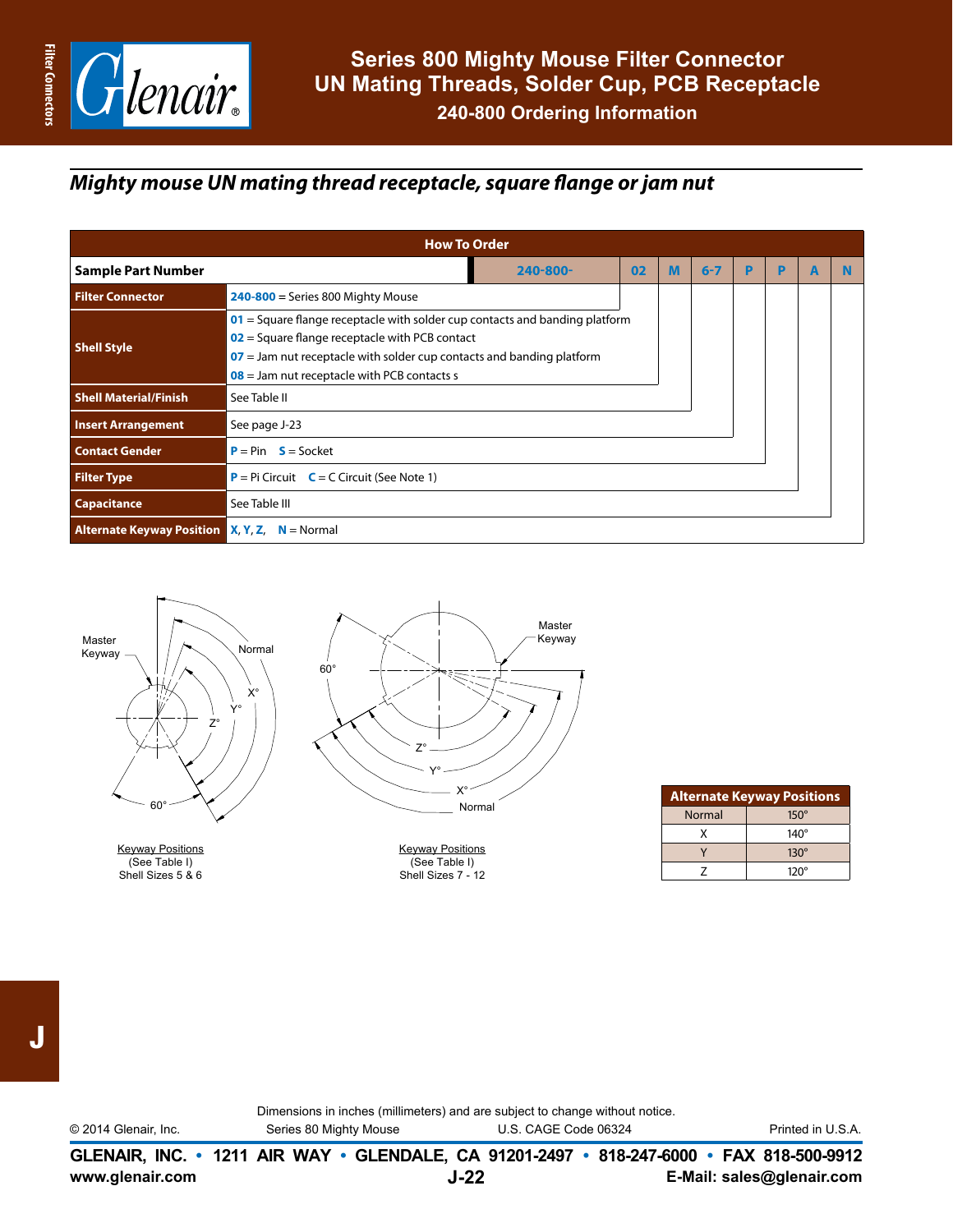

## *Mighty mouse UN mating thread receptacle, square flange or jam nut*

| <b>How To Order</b>                                                                                                                                                                                                                                                                 |                                       |    |   |         |   |   |   |  |  |
|-------------------------------------------------------------------------------------------------------------------------------------------------------------------------------------------------------------------------------------------------------------------------------------|---------------------------------------|----|---|---------|---|---|---|--|--|
| <b>Sample Part Number</b>                                                                                                                                                                                                                                                           | $240 - 800 -$                         | 02 | м | $6 - 7$ | D | P | A |  |  |
| <b>Filter Connector</b>                                                                                                                                                                                                                                                             | $240 - 800$ = Series 800 Mighty Mouse |    |   |         |   |   |   |  |  |
| $01$ = Square flange receptacle with solder cup contacts and banding platform<br>$02$ = Square flange receptacle with PCB contact<br><b>Shell Style</b><br>$07$ = Jam nut receptacle with solder cup contacts and banding platform<br>$08$ = Jam nut receptacle with PCB contacts s |                                       |    |   |         |   |   |   |  |  |
| <b>Shell Material/Finish</b>                                                                                                                                                                                                                                                        | See Table II                          |    |   |         |   |   |   |  |  |
| <b>Insert Arrangement</b><br>See page J-23                                                                                                                                                                                                                                          |                                       |    |   |         |   |   |   |  |  |
| <b>Contact Gender</b>                                                                                                                                                                                                                                                               |                                       |    |   |         |   |   |   |  |  |
| <b>Filter Type</b><br>$P = Pi$ Circuit $C = C$ Circuit (See Note 1)                                                                                                                                                                                                                 |                                       |    |   |         |   |   |   |  |  |
| Capacitance                                                                                                                                                                                                                                                                         | See Table III                         |    |   |         |   |   |   |  |  |
| <b>Alternate Keyway Position X, Y, Z, N</b> = Normal                                                                                                                                                                                                                                |                                       |    |   |         |   |   |   |  |  |



Keyway Positions (See Table I) Shell Sizes 7 - 12

| <b>Alternate Keyway Positions</b> |             |  |  |  |  |  |
|-----------------------------------|-------------|--|--|--|--|--|
| <b>Normal</b>                     | $150^\circ$ |  |  |  |  |  |
| x                                 | $140^\circ$ |  |  |  |  |  |
|                                   | $130^\circ$ |  |  |  |  |  |
|                                   | $120^\circ$ |  |  |  |  |  |

Keyway Positions (See Table I) Shell Sizes 5 & 6

**www.glenair.com E-Mail: sales@glenair.com GLENAIR, INC. • 1211 AIR WAY • GLENDALE, CA 91201-2497 • 818-247-6000 • FAX 818-500-9912 J-22** © 2014 Glenair, Inc. Series 80 Mighty Mouse U.S. CAGE Code 06324 Printed in U.S.A.

Dimensions in inches (millimeters) and are subject to change without notice.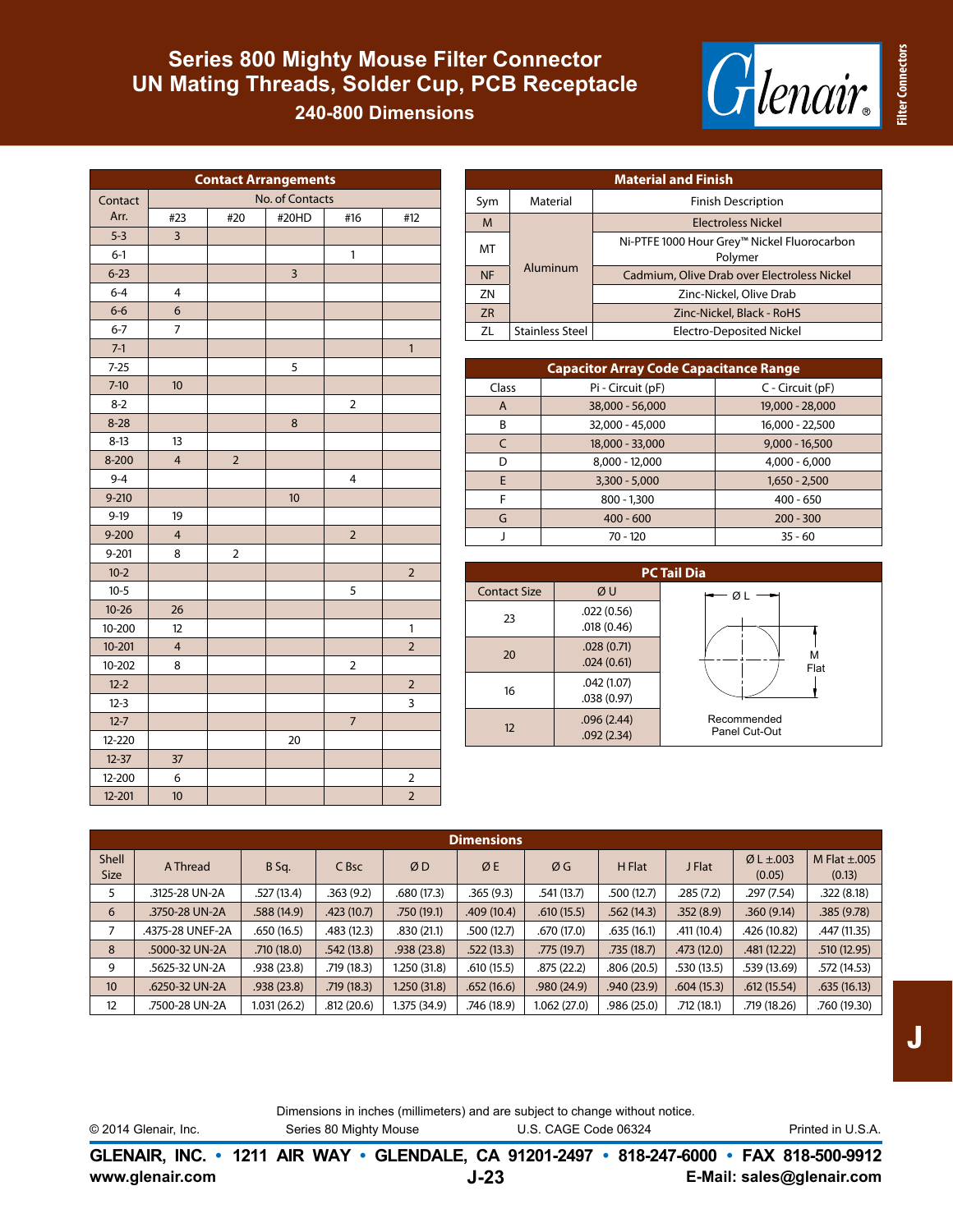## **Series 800 Mighty Mouse Filter Connector UN Mating Threads, Solder Cup, PCB Receptacle**

**240-800 Dimensions**

| eritti<br>® |
|-------------|
|-------------|

**Filter Connectors**

**Filter Connectors** 

| <b>Contact Arrangements</b> |                         |                 |       |                |                |  |  |
|-----------------------------|-------------------------|-----------------|-------|----------------|----------------|--|--|
| Contact                     |                         | No. of Contacts |       |                |                |  |  |
| Arr.                        | #23                     | #20             | #20HD | #16            | #12            |  |  |
| $5-3$                       | $\mathsf 3$             |                 |       |                |                |  |  |
| $6-1$                       |                         |                 |       | 1              |                |  |  |
| $6 - 23$                    |                         |                 | 3     |                |                |  |  |
| $6 - 4$                     | $\overline{4}$          |                 |       |                |                |  |  |
| $6-6$                       | 6                       |                 |       |                |                |  |  |
| $6 - 7$                     | 7                       |                 |       |                |                |  |  |
| $7-1$                       |                         |                 |       |                | $\mathbf{1}$   |  |  |
| $7 - 25$                    |                         |                 | 5     |                |                |  |  |
| $7-10$                      | 10                      |                 |       |                |                |  |  |
| $8 - 2$                     |                         |                 |       | $\overline{2}$ |                |  |  |
| $8 - 28$                    |                         |                 | 8     |                |                |  |  |
| $8-13$                      | 13                      |                 |       |                |                |  |  |
| 8-200                       | $\overline{\mathbf{4}}$ | $\overline{2}$  |       |                |                |  |  |
| $9 - 4$                     |                         |                 |       | 4              |                |  |  |
| $9 - 210$                   |                         |                 | 10    |                |                |  |  |
| $9-19$                      | 19                      |                 |       |                |                |  |  |
| $9 - 200$                   | $\overline{4}$          |                 |       | $\overline{2}$ |                |  |  |
| 9-201                       | 8                       | $\overline{2}$  |       |                |                |  |  |
| $10-2$                      |                         |                 |       |                | $\overline{2}$ |  |  |
| $10-5$                      |                         |                 |       | 5              |                |  |  |
| $10 - 26$                   | 26                      |                 |       |                |                |  |  |
| 10-200                      | 12                      |                 |       |                | 1              |  |  |
| $10 - 201$                  | $\overline{\mathbf{4}}$ |                 |       |                | $\overline{2}$ |  |  |
| 10-202                      | 8                       |                 |       | $\overline{2}$ |                |  |  |
| $12 - 2$                    |                         |                 |       |                | $\overline{2}$ |  |  |
| $12 - 3$                    |                         |                 |       |                | 3              |  |  |
| $12 - 7$                    |                         |                 |       | $\overline{7}$ |                |  |  |
| 12-220                      |                         |                 | 20    |                |                |  |  |
| $12 - 37$                   | 37                      |                 |       |                |                |  |  |
| 12-200                      | 6                       |                 |       |                | $\overline{2}$ |  |  |
| $12 - 201$                  | 10                      |                 |       |                | $\overline{2}$ |  |  |

| <b>Material and Finish</b> |                        |                                                        |  |  |  |  |  |
|----------------------------|------------------------|--------------------------------------------------------|--|--|--|--|--|
| Sym                        | Material               | <b>Finish Description</b>                              |  |  |  |  |  |
| M                          |                        | Electroless Nickel                                     |  |  |  |  |  |
| MT                         |                        | Ni-PTFE 1000 Hour Grey™ Nickel Fluorocarbon<br>Polymer |  |  |  |  |  |
| <b>NF</b>                  | Aluminum               | Cadmium, Olive Drab over Electroless Nickel            |  |  |  |  |  |
| ZN                         |                        | Zinc-Nickel, Olive Drab                                |  |  |  |  |  |
| <b>ZR</b>                  |                        | Zinc-Nickel, Black - RoHS                              |  |  |  |  |  |
| <b>71</b>                  | <b>Stainless Steel</b> | <b>Electro-Deposited Nickel</b>                        |  |  |  |  |  |

| <b>Capacitor Array Code Capacitance Range</b> |                   |                  |  |  |  |  |  |  |
|-----------------------------------------------|-------------------|------------------|--|--|--|--|--|--|
| Class                                         | Pi - Circuit (pF) | C - Circuit (pF) |  |  |  |  |  |  |
| $\mathsf{A}$                                  | 38,000 - 56,000   | 19,000 - 28,000  |  |  |  |  |  |  |
| B                                             | 32,000 - 45,000   | 16,000 - 22,500  |  |  |  |  |  |  |
| $\mathcal{C}$                                 | 18,000 - 33,000   | $9,000 - 16,500$ |  |  |  |  |  |  |
| D                                             | $8,000 - 12,000$  | $4,000 - 6,000$  |  |  |  |  |  |  |
| E                                             | $3,300 - 5,000$   | $1,650 - 2,500$  |  |  |  |  |  |  |
| F                                             | $800 - 1,300$     | $400 - 650$      |  |  |  |  |  |  |
| G                                             | $400 - 600$       | $200 - 300$      |  |  |  |  |  |  |
|                                               | $70 - 120$        | $35 - 60$        |  |  |  |  |  |  |

| <b>PC Tail Dia</b>  |                          |                              |  |  |  |  |  |  |  |
|---------------------|--------------------------|------------------------------|--|--|--|--|--|--|--|
| <b>Contact Size</b> | ØU                       | ØΙ                           |  |  |  |  |  |  |  |
| 23                  | .022(0.56)<br>.018(0.46) |                              |  |  |  |  |  |  |  |
| 20                  | .028(0.71)<br>.024(0.61) | М<br>Flat                    |  |  |  |  |  |  |  |
| 16                  | .042(1.07)<br>.038(0.97) |                              |  |  |  |  |  |  |  |
| 12                  | .096(2.44)<br>.092(2.34) | Recommended<br>Panel Cut-Out |  |  |  |  |  |  |  |

| <b>Dimensions</b>    |                  |              |             |              |             |             |             |            |                          |                             |
|----------------------|------------------|--------------|-------------|--------------|-------------|-------------|-------------|------------|--------------------------|-----------------------------|
| Shell<br><b>Size</b> | A Thread         | B Sq.        | C Bsc       | ØD           | ØE          | ØG          | H Flat      | J Flat     | Ø L $\pm$ .003<br>(0.05) | M Flat $\pm$ .005<br>(0.13) |
| 5                    | .3125-28 UN-2A   | .527 (13.4)  | .363(9.2)   | .680(17.3)   | .365(9.3)   | .541(13.7)  | .500(12.7)  | .285(7.2)  | .297(7.54)               | .322(8.18)                  |
| 6                    | .3750-28 UN-2A   | .588(14.9)   | .423(10.7)  | .750(19.1)   | .409(10.4)  | .610(15.5)  | .562(14.3)  | .352(8.9)  | .360(9.14)               | .385(9.78)                  |
|                      | .4375-28 UNEF-2A | .650(16.5)   | .483 (12.3) | .830(21.1)   | .500(12.7)  | .670 (17.0) | .635(16.1)  | .411(10.4) | .426 (10.82)             | .447 (11.35)                |
| 8                    | .5000-32 UN-2A   | .710(18.0)   | .542(13.8)  | .938(23.8)   | .522(13.3)  | .775(19.7)  | .735(18.7)  | .473(12.0) | .481(12.22)              | .510(12.95)                 |
| 9                    | .5625-32 UN-2A   | .938 (23.8)  | .719(18.3)  | 1.250(31.8)  | .610(15.5)  | .875(22.2)  | .806(20.5)  | .530(13.5) | .539 (13.69)             | .572 (14.53)                |
| 10 <sup>10</sup>     | .6250-32 UN-2A   | .938(23.8)   | .719(18.3)  | 1.250(31.8)  | .652(16.6)  | .980(24.9)  | .940(23.9)  | .604(15.3) | .612(15.54)              | .635(16.13)                 |
| 12                   | .7500-28 UN-2A   | 1.031 (26.2) | .812(20.6)  | 1.375 (34.9) | .746 (18.9) | 1.062(27.0) | .986 (25.0) | .712(18.1) | .719 (18.26)             | .760 (19.30)                |

| $\mathcal{L}(\mathcal{L})$ |          | $\mathcal{L}(\mathcal{L})$<br>- |
|----------------------------|----------|---------------------------------|
|                            | UM.<br>- |                                 |

**www.glenair.com E-Mail: sales@glenair.com GLENAIR, INC. • 1211 AIR WAY • GLENDALE, CA 91201-2497 • 818-247-6000 • FAX 818-500-9912 J-23**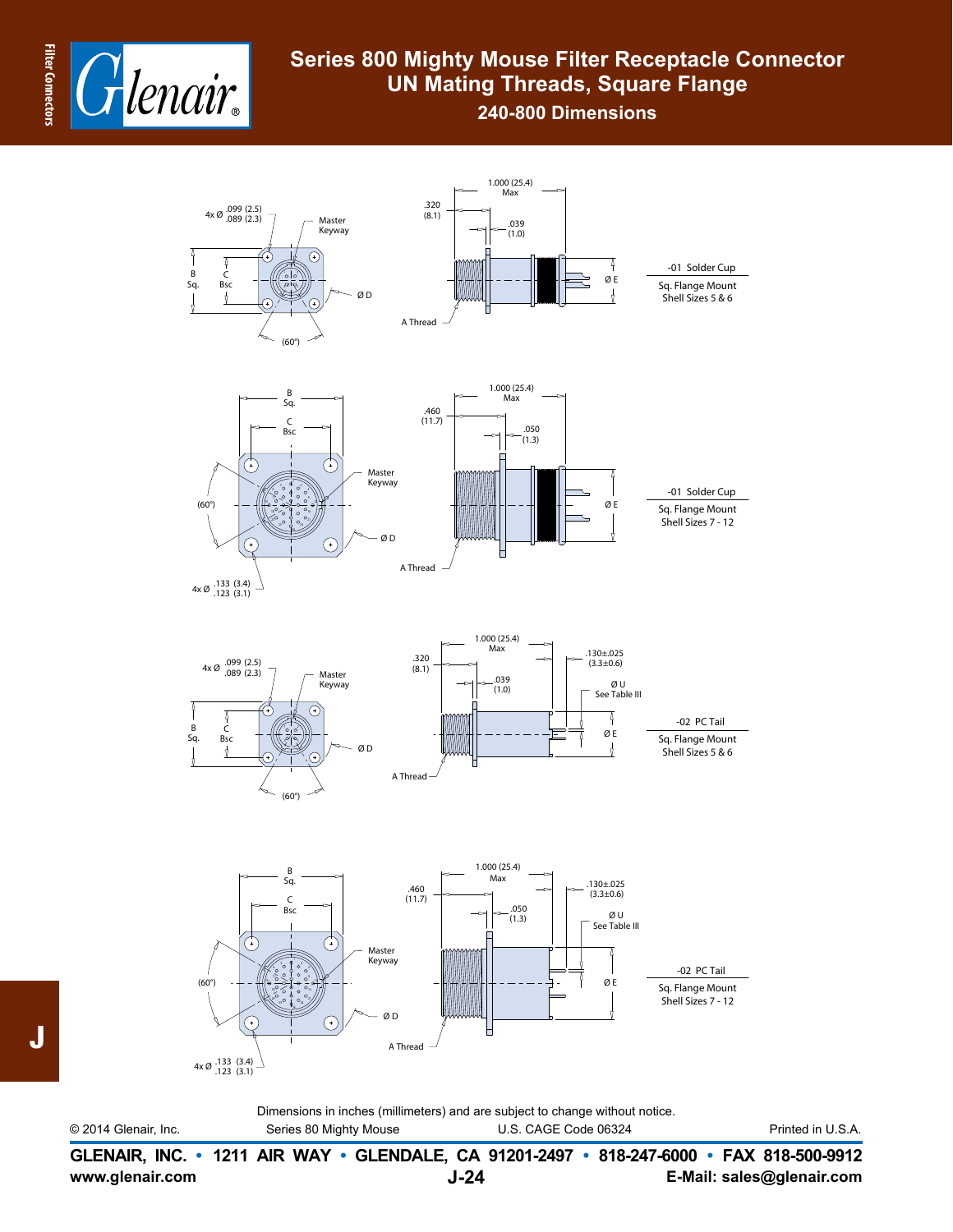

## **Series 800 Mighty Mouse Filter Receptacle Connector UN Mating Threads, Square Flange**

**240-800 Dimensions**



Dimensions in inches (millimeters) and are subject to change without notice. © 2014 Glenair, Inc. Series 80 Mighty Mouse U.S. CAGE Code 06324 Printed in U.S.A.

**www.glenair.com E-Mail: sales@glenair.com GLENAIR, INC. • 1211 AIR WAY • GLENDALE, CA 91201-2497 • 818-247-6000 • FAX 818-500-9912 J-24**